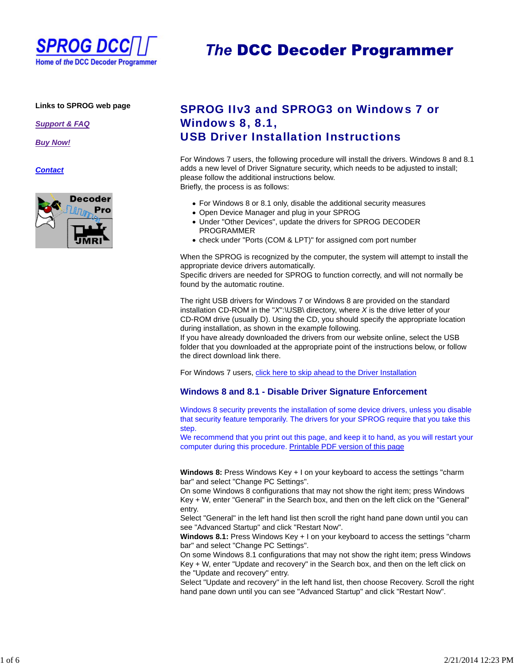

# **The DCC Decoder Programmer**

#### **Links to SPROG web page**

*Support & FAQ*

*Buy Now!*

*Contact*



## SPROG IIv3 and SPROG3 on Windows 7 or Windows 8, 8.1, USB Driver Installation Instructions

For Windows 7 users, the following procedure will install the drivers. Windows 8 and 8.1 adds a new level of Driver Signature security, which needs to be adjusted to install; please follow the additional instructions below. Briefly, the process is as follows:

For Windows 8 or 8.1 only, disable the additional security measures

- Open Device Manager and plug in your SPROG
- Under "Other Devices", update the drivers for SPROG DECODER PROGRAMMER
- check under "Ports (COM & LPT)" for assigned com port number

When the SPROG is recognized by the computer, the system will attempt to install the appropriate device drivers automatically.

Specific drivers are needed for SPROG to function correctly, and will not normally be found by the automatic routine.

The right USB drivers for Windows 7 or Windows 8 are provided on the standard installation CD-ROM in the "*X*":\USB\ directory, where *X* is the drive letter of your CD-ROM drive (usually D). Using the CD, you should specify the appropriate location during installation, as shown in the example following.

If you have already downloaded the drivers from our website online, select the USB folder that you downloaded at the appropriate point of the instructions below, or follow the direct download link there.

For Windows 7 users, click here to skip ahead to the Driver Installation

#### **Windows 8 and 8.1 - Disable Driver Signature Enforcement**

Windows 8 security prevents the installation of some device drivers, unless you disable that security feature temporarily. The drivers for your SPROG require that you take this step.

We recommend that you print out this page, and keep it to hand, as you will restart your computer during this procedure. Printable PDF version of this page

**Windows 8:** Press Windows Key + I on your keyboard to access the settings "charm bar" and select "Change PC Settings".

On some Windows 8 configurations that may not show the right item; press Windows Key + W, enter "General" in the Search box, and then on the left click on the "General" entry.

Select "General" in the left hand list then scroll the right hand pane down until you can see "Advanced Startup" and click "Restart Now".

**Windows 8.1:** Press Windows Key + I on your keyboard to access the settings "charm bar" and select "Change PC Settings".

On some Windows 8.1 configurations that may not show the right item; press Windows Key + W, enter "Update and recovery" in the Search box, and then on the left click on the "Update and recovery" entry.

Select "Update and recovery" in the left hand list, then choose Recovery. Scroll the right hand pane down until you can see "Advanced Startup" and click "Restart Now".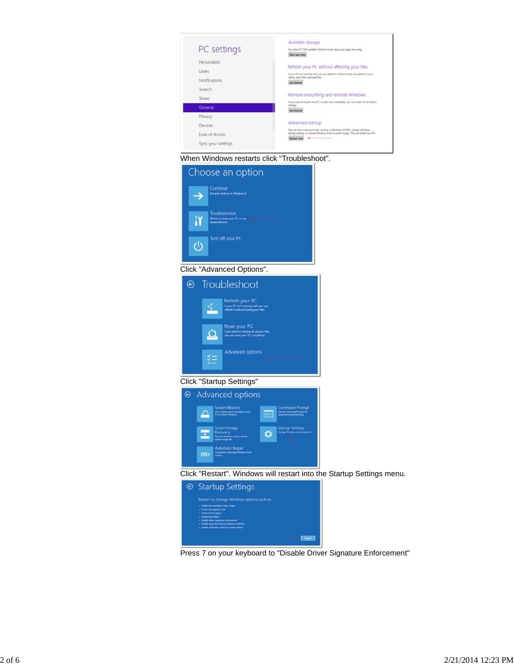





#### Click "Advanced Options".



### Click "Startup Settings"



Click "Restart". Windows will restart into the Startup Settings menu.



Press 7 on your keyboard to "Disable Driver Signature Enforcement"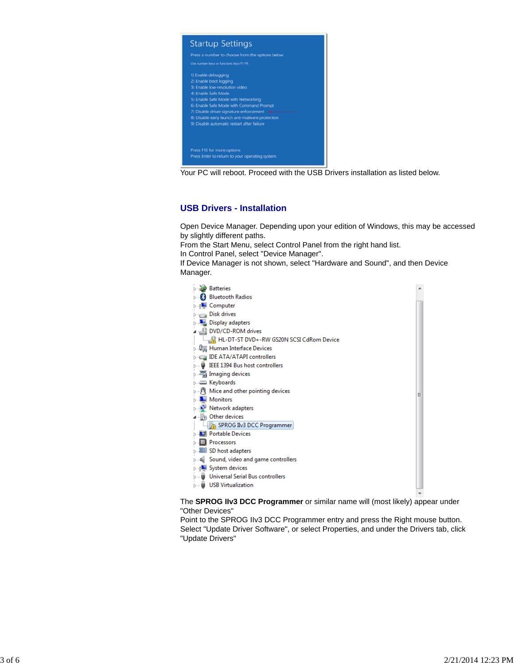

Your PC will reboot. Proceed with the USB Drivers installation as listed below.

#### **USB Drivers - Installation**

Open Device Manager. Depending upon your edition of Windows, this may be accessed by slightly different paths.

From the Start Menu, select Control Panel from the right hand list.

In Control Panel, select "Device Manager".

If Device Manager is not shown, select "Hardware and Sound", and then Device Manager.

| <b>Batteries</b>                                         |  |
|----------------------------------------------------------|--|
| <b>Bluetooth Radios</b>                                  |  |
| Computer                                                 |  |
| <b>Disk drives</b>                                       |  |
| <b>Display adapters</b>                                  |  |
| DVD/CD-ROM drives وَبِيْنِ و                             |  |
| HL-DT-ST DVD+-RW GS20N SCSI CdRom Device                 |  |
| ▷ 粵圖 Human Interface Devices                             |  |
| <b>IDE ATA/ATAPI controllers</b>                         |  |
| <b>EEE 1394 Bus host controllers</b>                     |  |
| ंस्त्र Imaging devices                                   |  |
| ⊳ am Keyboards                                           |  |
| $\triangleright$ $\cdot$ Mice and other pointing devices |  |
| Monitors                                                 |  |
| Network adapters                                         |  |
| Other devices                                            |  |
| SPROG IIv3 DCC Programmer                                |  |
| <b>Di</b> Portable Devices                               |  |
| Processors                                               |  |
| SD host adapters                                         |  |
| Sound, video and game controllers                        |  |
| <b>D</b> July System devices                             |  |
| Universal Serial Bus controllers                         |  |
| <b>USB Virtualization</b>                                |  |
|                                                          |  |

The **SPROG IIv3 DCC Programmer** or similar name will (most likely) appear under "Other Devices"

Point to the SPROG IIv3 DCC Programmer entry and press the Right mouse button. Select "Update Driver Software", or select Properties, and under the Drivers tab, click "Update Drivers"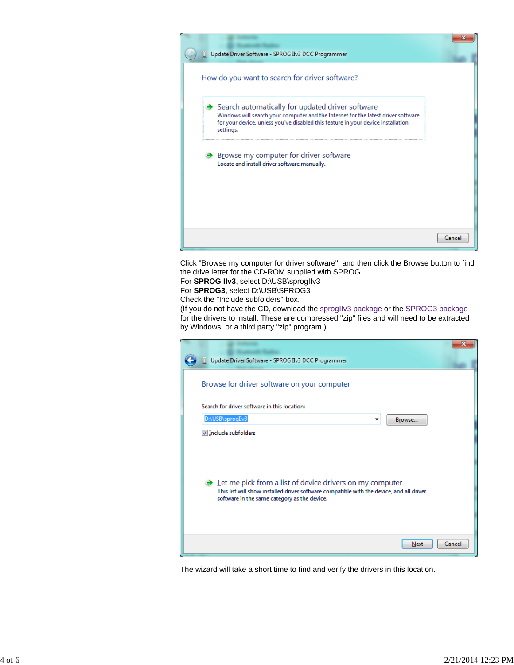

Click "Browse my computer for driver software", and then click the Browse button to find the drive letter for the CD-ROM supplied with SPROG.

For **SPROG IIv3**, select D:\USB\sprogIIv3

For **SPROG3**, select D:\USB\SPROG3

Check the "Include subfolders" box.

(If you do not have the CD, download the sprogliv3 package or the SPROG3 package for the drivers to install. These are compressed "zip" files and will need to be extracted by Windows, or a third party "zip" program.)

| Update Driver Software - SPROG IIv3 DCC Programmer                                                                                                                                                                 | x      |
|--------------------------------------------------------------------------------------------------------------------------------------------------------------------------------------------------------------------|--------|
| Browse for driver software on your computer                                                                                                                                                                        |        |
| Search for driver software in this location:                                                                                                                                                                       |        |
| D:\USB\sprogIIv3<br>Browse<br>▼                                                                                                                                                                                    |        |
| Include subfolders                                                                                                                                                                                                 |        |
| $\rightarrow$ Let me pick from a list of device drivers on my computer<br>This list will show installed driver software compatible with the device, and all driver<br>software in the same category as the device. |        |
| Next                                                                                                                                                                                                               | Cancel |

The wizard will take a short time to find and verify the drivers in this location.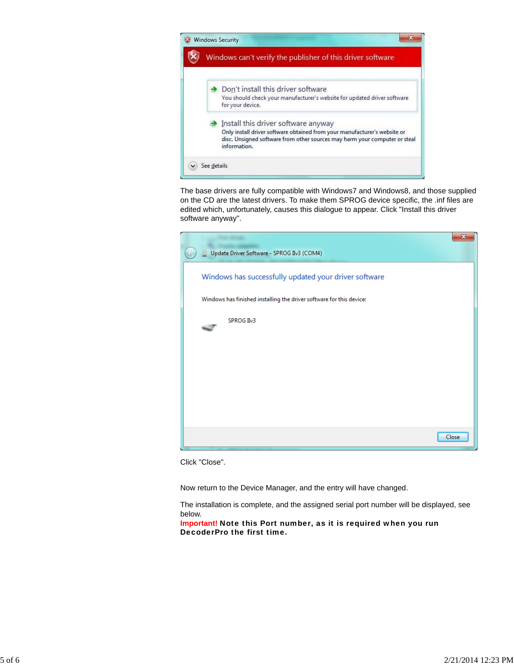

The base drivers are fully compatible with Windows7 and Windows8, and those supplied on the CD are the latest drivers. To make them SPROG device specific, the .inf files are edited which, unfortunately, causes this dialogue to appear. Click "Install this driver software anyway".

| Update Driver Software - SPROG IIv3 (COM4)                           | х     |
|----------------------------------------------------------------------|-------|
| Windows has successfully updated your driver software                |       |
| Windows has finished installing the driver software for this device: |       |
| SPROG II <sub>V</sub> 3                                              |       |
|                                                                      |       |
|                                                                      |       |
|                                                                      |       |
|                                                                      |       |
|                                                                      | Close |

Click "Close".

Now return to the Device Manager, and the entry will have changed.

The installation is complete, and the assigned serial port number will be displayed, see below.

**Important!** Note this Port number, as it is required when you run DecoderPro the first time.